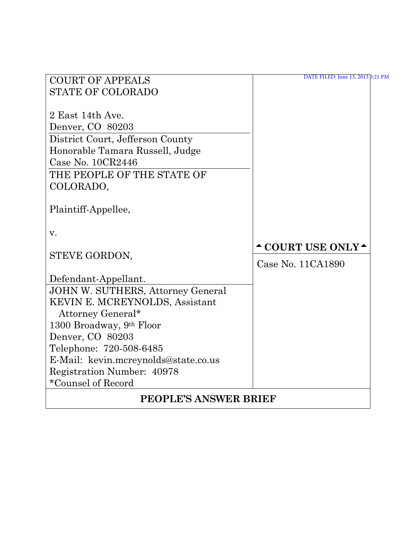| <b>COURT OF APPEALS</b>                  | DATE FILED: June 13, 2013 3:21 PM |  |  |  |
|------------------------------------------|-----------------------------------|--|--|--|
| <b>STATE OF COLORADO</b>                 |                                   |  |  |  |
|                                          |                                   |  |  |  |
| 2 East 14th Ave.                         |                                   |  |  |  |
| Denver, CO 80203                         |                                   |  |  |  |
| District Court, Jefferson County         |                                   |  |  |  |
| Honorable Tamara Russell, Judge          |                                   |  |  |  |
| Case No. 10CR2446                        |                                   |  |  |  |
| THE PEOPLE OF THE STATE OF               |                                   |  |  |  |
| COLORADO,                                |                                   |  |  |  |
| Plaintiff-Appellee,                      |                                   |  |  |  |
|                                          |                                   |  |  |  |
| V.                                       |                                   |  |  |  |
|                                          | <b>^COURT USE ONLY^</b>           |  |  |  |
| STEVE GORDON,                            | Case No. 11CA1890                 |  |  |  |
| Defendant-Appellant.                     |                                   |  |  |  |
| <b>JOHN W. SUTHERS, Attorney General</b> |                                   |  |  |  |
| KEVIN E. MCREYNOLDS, Assistant           |                                   |  |  |  |
| Attorney General*                        |                                   |  |  |  |
| 1300 Broadway, 9th Floor                 |                                   |  |  |  |
| Denver, CO 80203                         |                                   |  |  |  |
| Telephone: 720-508-6485                  |                                   |  |  |  |
| E-Mail: kevin.mcreynolds@state.co.us     |                                   |  |  |  |
| Registration Number: 40978               |                                   |  |  |  |
| *Counsel of Record                       |                                   |  |  |  |
| <b>PEOPLE'S ANSWER BRIEF</b>             |                                   |  |  |  |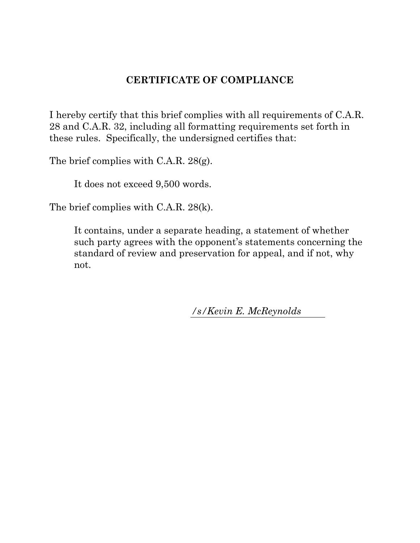## **CERTIFICATE OF COMPLIANCE**

I hereby certify that this brief complies with all requirements of C.A.R. 28 and C.A.R. 32, including all formatting requirements set forth in these rules. Specifically, the undersigned certifies that:

The brief complies with C.A.R. 28(g).

It does not exceed 9,500 words.

The brief complies with C.A.R. 28(k).

It contains, under a separate heading, a statement of whether such party agrees with the opponent's statements concerning the standard of review and preservation for appeal, and if not, why not.

*/s/Kevin E. McReynolds*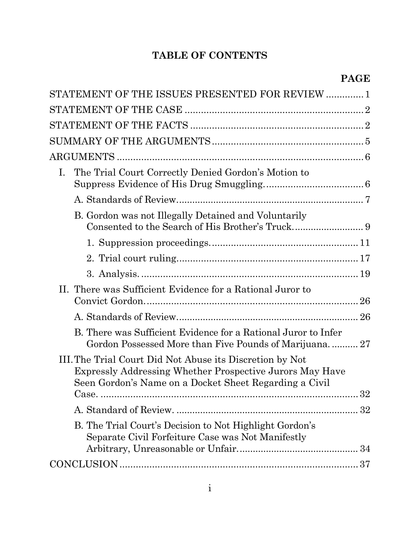# **TABLE OF CONTENTS**

| STATEMENT OF THE ISSUES PRESENTED FOR REVIEW  1                                                                                                                                         |    |
|-----------------------------------------------------------------------------------------------------------------------------------------------------------------------------------------|----|
|                                                                                                                                                                                         |    |
|                                                                                                                                                                                         |    |
|                                                                                                                                                                                         |    |
|                                                                                                                                                                                         |    |
| The Trial Court Correctly Denied Gordon's Motion to<br>Ι.                                                                                                                               |    |
|                                                                                                                                                                                         |    |
| B. Gordon was not Illegally Detained and Voluntarily                                                                                                                                    |    |
|                                                                                                                                                                                         |    |
|                                                                                                                                                                                         |    |
|                                                                                                                                                                                         |    |
| II. There was Sufficient Evidence for a Rational Juror to                                                                                                                               |    |
|                                                                                                                                                                                         |    |
| B. There was Sufficient Evidence for a Rational Juror to Infer<br>Gordon Possessed More than Five Pounds of Marijuana 27                                                                |    |
| III. The Trial Court Did Not Abuse its Discretion by Not<br>Expressly Addressing Whether Prospective Jurors May Have<br>Seen Gordon's Name on a Docket Sheet Regarding a Civil<br>Case. | 32 |
|                                                                                                                                                                                         |    |
| B. The Trial Court's Decision to Not Highlight Gordon's<br>Separate Civil Forfeiture Case was Not Manifestly                                                                            |    |
|                                                                                                                                                                                         |    |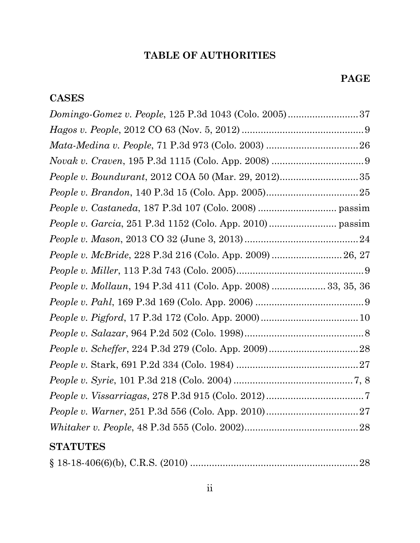# **TABLE OF AUTHORITIES**

# **CASES**

| People v. McBride, 228 P.3d 216 (Colo. App. 2009)  26, 27     |  |
|---------------------------------------------------------------|--|
|                                                               |  |
| People v. Mollaun, 194 P.3d 411 (Colo. App. 2008)  33, 35, 36 |  |
|                                                               |  |
|                                                               |  |
|                                                               |  |
|                                                               |  |
|                                                               |  |
|                                                               |  |
|                                                               |  |
|                                                               |  |
|                                                               |  |
|                                                               |  |

# **STATUTES**

|--|--|--|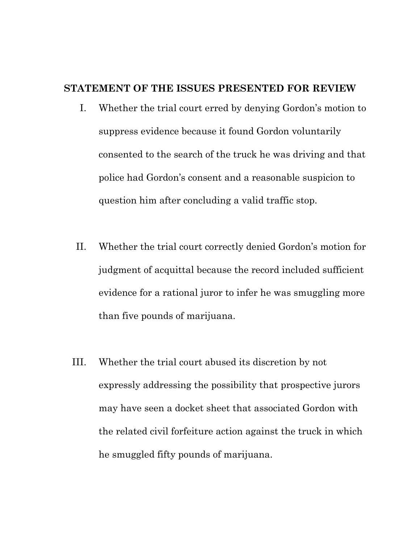## **STATEMENT OF THE ISSUES PRESENTED FOR REVIEW**

- I. Whether the trial court erred by denying Gordon's motion to suppress evidence because it found Gordon voluntarily consented to the search of the truck he was driving and that police had Gordon's consent and a reasonable suspicion to question him after concluding a valid traffic stop.
- II. Whether the trial court correctly denied Gordon's motion for judgment of acquittal because the record included sufficient evidence for a rational juror to infer he was smuggling more than five pounds of marijuana.
- III. Whether the trial court abused its discretion by not expressly addressing the possibility that prospective jurors may have seen a docket sheet that associated Gordon with the related civil forfeiture action against the truck in which he smuggled fifty pounds of marijuana.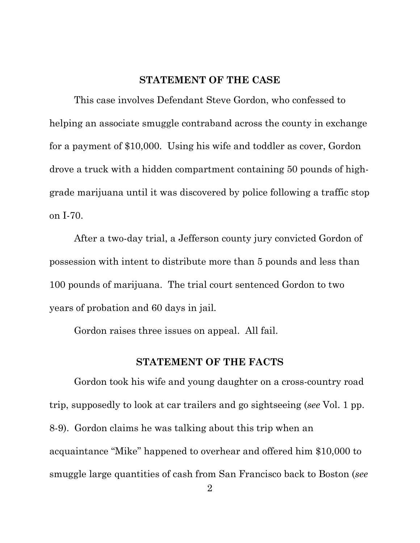#### **STATEMENT OF THE CASE**

This case involves Defendant Steve Gordon, who confessed to helping an associate smuggle contraband across the county in exchange for a payment of \$10,000. Using his wife and toddler as cover, Gordon drove a truck with a hidden compartment containing 50 pounds of highgrade marijuana until it was discovered by police following a traffic stop on I-70.

After a two-day trial, a Jefferson county jury convicted Gordon of possession with intent to distribute more than 5 pounds and less than 100 pounds of marijuana. The trial court sentenced Gordon to two years of probation and 60 days in jail.

Gordon raises three issues on appeal. All fail.

#### **STATEMENT OF THE FACTS**

Gordon took his wife and young daughter on a cross-country road trip, supposedly to look at car trailers and go sightseeing (*see* Vol. 1 pp. 8-9). Gordon claims he was talking about this trip when an acquaintance "Mike" happened to overhear and offered him \$10,000 to smuggle large quantities of cash from San Francisco back to Boston (*see*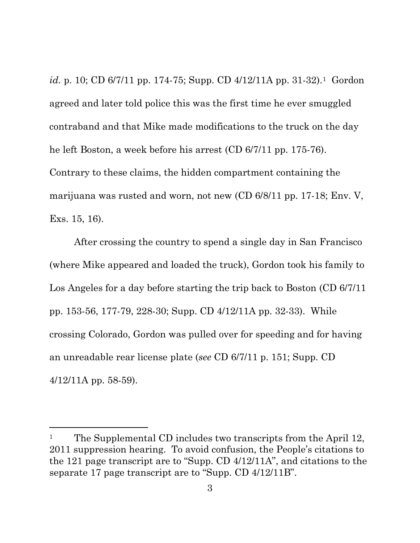*id.* p. 10; CD 6/7/11 pp. 174-75; Supp. CD 4/12/11A pp. 31-32).[1](#page-6-0) Gordon agreed and later told police this was the first time he ever smuggled contraband and that Mike made modifications to the truck on the day he left Boston, a week before his arrest (CD 6/7/11 pp. 175-76). Contrary to these claims, the hidden compartment containing the marijuana was rusted and worn, not new (CD 6/8/11 pp. 17-18; Env. V, Exs. 15, 16).

After crossing the country to spend a single day in San Francisco (where Mike appeared and loaded the truck), Gordon took his family to Los Angeles for a day before starting the trip back to Boston (CD 6/7/11 pp. 153-56, 177-79, 228-30; Supp. CD 4/12/11A pp. 32-33). While crossing Colorado, Gordon was pulled over for speeding and for having an unreadable rear license plate (*see* CD 6/7/11 p. 151; Supp. CD 4/12/11A pp. 58-59).

l

<span id="page-6-0"></span><sup>&</sup>lt;sup>1</sup> The Supplemental CD includes two transcripts from the April 12, 2011 suppression hearing. To avoid confusion, the People's citations to the 121 page transcript are to "Supp. CD 4/12/11A", and citations to the separate 17 page transcript are to "Supp. CD 4/12/11B".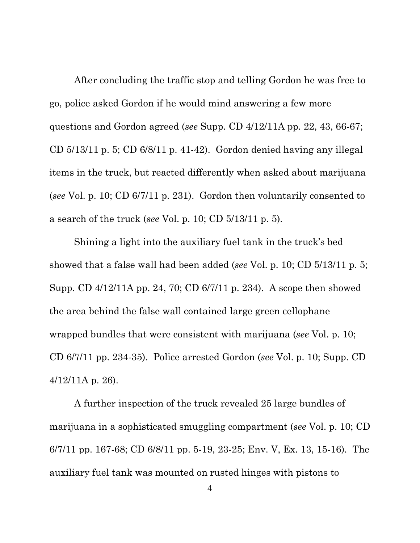After concluding the traffic stop and telling Gordon he was free to go, police asked Gordon if he would mind answering a few more questions and Gordon agreed (*see* Supp. CD 4/12/11A pp. 22, 43, 66-67; CD 5/13/11 p. 5; CD 6/8/11 p. 41-42). Gordon denied having any illegal items in the truck, but reacted differently when asked about marijuana (*see* Vol. p. 10; CD 6/7/11 p. 231). Gordon then voluntarily consented to a search of the truck (*see* Vol. p. 10; CD 5/13/11 p. 5).

Shining a light into the auxiliary fuel tank in the truck's bed showed that a false wall had been added (*see* Vol. p. 10; CD 5/13/11 p. 5; Supp. CD 4/12/11A pp. 24, 70; CD 6/7/11 p. 234). A scope then showed the area behind the false wall contained large green cellophane wrapped bundles that were consistent with marijuana (*see* Vol. p. 10; CD 6/7/11 pp. 234-35). Police arrested Gordon (*see* Vol. p. 10; Supp. CD 4/12/11A p. 26).

A further inspection of the truck revealed 25 large bundles of marijuana in a sophisticated smuggling compartment (*see* Vol. p. 10; CD 6/7/11 pp. 167-68; CD 6/8/11 pp. 5-19, 23-25; Env. V, Ex. 13, 15-16). The auxiliary fuel tank was mounted on rusted hinges with pistons to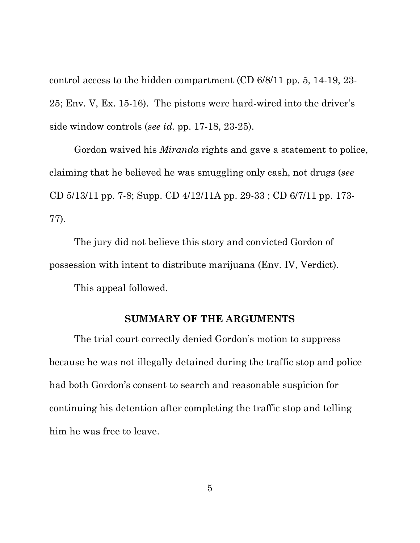control access to the hidden compartment (CD 6/8/11 pp. 5, 14-19, 23- 25; Env. V, Ex. 15-16). The pistons were hard-wired into the driver's side window controls (*see id.* pp. 17-18, 23-25).

Gordon waived his *Miranda* rights and gave a statement to police, claiming that he believed he was smuggling only cash, not drugs (*see*  CD 5/13/11 pp. 7-8; Supp. CD 4/12/11A pp. 29-33 ; CD 6/7/11 pp. 173- 77).

The jury did not believe this story and convicted Gordon of possession with intent to distribute marijuana (Env. IV, Verdict).

This appeal followed.

### **SUMMARY OF THE ARGUMENTS**

The trial court correctly denied Gordon's motion to suppress because he was not illegally detained during the traffic stop and police had both Gordon's consent to search and reasonable suspicion for continuing his detention after completing the traffic stop and telling him he was free to leave.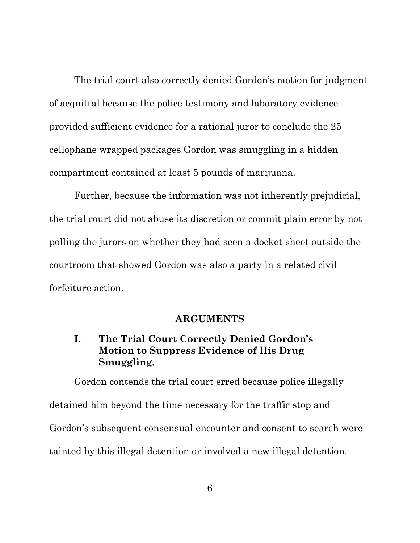The trial court also correctly denied Gordon's motion for judgment of acquittal because the police testimony and laboratory evidence provided sufficient evidence for a rational juror to conclude the 25 cellophane wrapped packages Gordon was smuggling in a hidden compartment contained at least 5 pounds of marijuana.

Further, because the information was not inherently prejudicial, the trial court did not abuse its discretion or commit plain error by not polling the jurors on whether they had seen a docket sheet outside the courtroom that showed Gordon was also a party in a related civil forfeiture action.

#### **ARGUMENTS**

## **I. The Trial Court Correctly Denied Gordon's Motion to Suppress Evidence of His Drug Smuggling.**

Gordon contends the trial court erred because police illegally detained him beyond the time necessary for the traffic stop and Gordon's subsequent consensual encounter and consent to search were tainted by this illegal detention or involved a new illegal detention.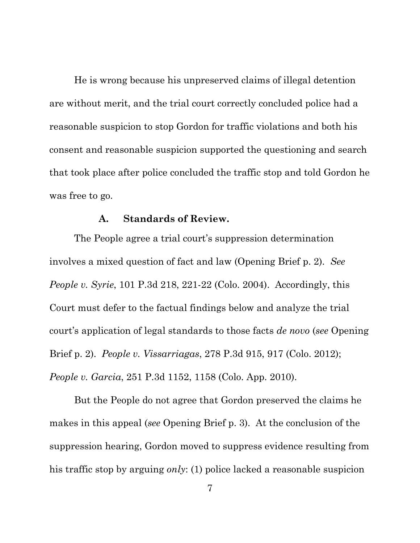He is wrong because his unpreserved claims of illegal detention are without merit, and the trial court correctly concluded police had a reasonable suspicion to stop Gordon for traffic violations and both his consent and reasonable suspicion supported the questioning and search that took place after police concluded the traffic stop and told Gordon he was free to go.

#### **A. Standards of Review.**

The People agree a trial court's suppression determination involves a mixed question of fact and law (Opening Brief p. 2). *See People v. Syrie*, 101 P.3d 218, 221-22 (Colo. 2004). Accordingly, this Court must defer to the factual findings below and analyze the trial court's application of legal standards to those facts *de novo* (*see* Opening Brief p. 2). *People v. Vissarriagas*, 278 P.3d 915, 917 (Colo. 2012); *People v. Garcia*, 251 P.3d 1152, 1158 (Colo. App. 2010).

But the People do not agree that Gordon preserved the claims he makes in this appeal (*see* Opening Brief p. 3). At the conclusion of the suppression hearing, Gordon moved to suppress evidence resulting from his traffic stop by arguing *only*: (1) police lacked a reasonable suspicion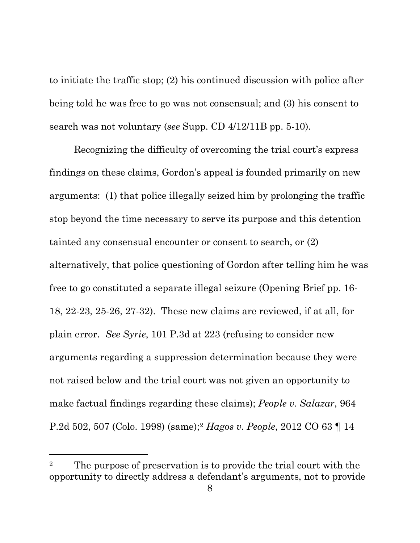to initiate the traffic stop; (2) his continued discussion with police after being told he was free to go was not consensual; and (3) his consent to search was not voluntary (*see* Supp. CD 4/12/11B pp. 5-10).

Recognizing the difficulty of overcoming the trial court's express findings on these claims, Gordon's appeal is founded primarily on new arguments: (1) that police illegally seized him by prolonging the traffic stop beyond the time necessary to serve its purpose and this detention tainted any consensual encounter or consent to search, or (2) alternatively, that police questioning of Gordon after telling him he was free to go constituted a separate illegal seizure (Opening Brief pp. 16- 18, 22-23, 25-26, 27-32). These new claims are reviewed, if at all, for plain error. *See Syrie*, 101 P.3d at 223 (refusing to consider new arguments regarding a suppression determination because they were not raised below and the trial court was not given an opportunity to make factual findings regarding these claims); *People v. Salazar*, 964 P.2d 502, 507 (Colo. 1998) (same)[;2](#page-11-0) *Hagos v. People*, 2012 CO 63 ¶ 14

l

<span id="page-11-0"></span><sup>&</sup>lt;sup>2</sup> The purpose of preservation is to provide the trial court with the opportunity to directly address a defendant's arguments, not to provide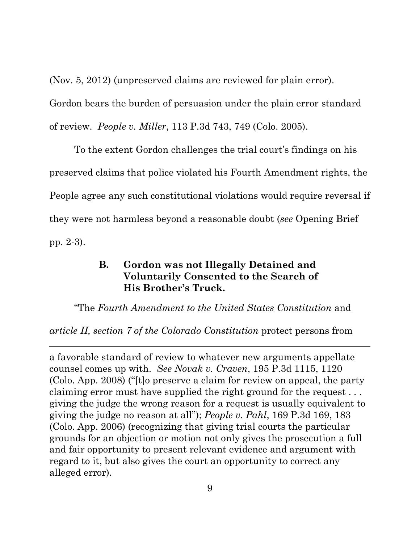(Nov. 5, 2012) (unpreserved claims are reviewed for plain error).

Gordon bears the burden of persuasion under the plain error standard of review. *People v. Miller*, 113 P.3d 743, 749 (Colo. 2005).

To the extent Gordon challenges the trial court's findings on his preserved claims that police violated his Fourth Amendment rights, the People agree any such constitutional violations would require reversal if they were not harmless beyond a reasonable doubt (*see* Opening Brief pp. 2-3).

## **B. Gordon was not Illegally Detained and Voluntarily Consented to the Search of His Brother's Truck.**

"The *Fourth Amendment to the United States Constitution* and

*article II, section 7 of the Colorado Constitution* protect persons from

 $\overline{a}$ 

a favorable standard of review to whatever new arguments appellate counsel comes up with. *See Novak v. Craven*, 195 P.3d 1115, 1120 (Colo. App. 2008) ("[t]o preserve a claim for review on appeal, the party claiming error must have supplied the right ground for the request . . . giving the judge the wrong reason for a request is usually equivalent to giving the judge no reason at all"); *People v. Pahl*, 169 P.3d 169, 183 (Colo. App. 2006) (recognizing that giving trial courts the particular grounds for an objection or motion not only gives the prosecution a full and fair opportunity to present relevant evidence and argument with regard to it, but also gives the court an opportunity to correct any alleged error).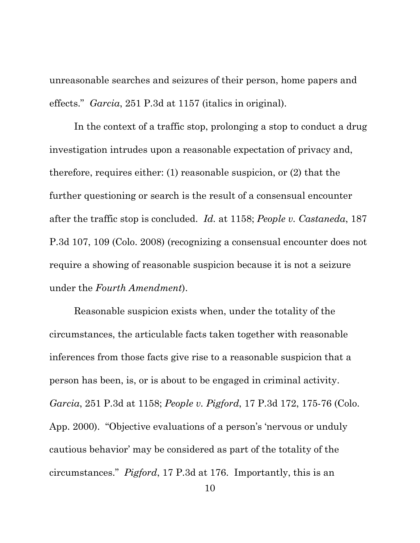unreasonable searches and seizures of their person, home papers and effects." *Garcia*, 251 P.3d at 1157 (italics in original).

In the context of a traffic stop, prolonging a stop to conduct a drug investigation intrudes upon a reasonable expectation of privacy and, therefore, requires either: (1) reasonable suspicion, or (2) that the further questioning or search is the result of a consensual encounter after the traffic stop is concluded. *Id.* at 1158; *People v. Castaneda*, 187 P.3d 107, 109 (Colo. 2008) (recognizing a consensual encounter does not require a showing of reasonable suspicion because it is not a seizure under the *Fourth Amendment*).

Reasonable suspicion exists when, under the totality of the circumstances, the articulable facts taken together with reasonable inferences from those facts give rise to a reasonable suspicion that a person has been, is, or is about to be engaged in criminal activity. *Garcia*, 251 P.3d at 1158; *People v. Pigford*, 17 P.3d 172, 175-76 (Colo. App. 2000). "Objective evaluations of a person's 'nervous or unduly cautious behavior' may be considered as part of the totality of the circumstances." *Pigford*, 17 P.3d at 176. Importantly, this is an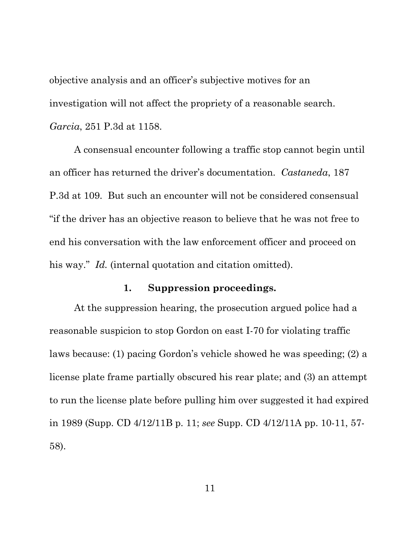objective analysis and an officer's subjective motives for an investigation will not affect the propriety of a reasonable search. *Garcia*, 251 P.3d at 1158.

A consensual encounter following a traffic stop cannot begin until an officer has returned the driver's documentation. *Castaneda*, 187 P.3d at 109. But such an encounter will not be considered consensual "if the driver has an objective reason to believe that he was not free to end his conversation with the law enforcement officer and proceed on his way." *Id.* (internal quotation and citation omitted).

## **1. Suppression proceedings.**

At the suppression hearing, the prosecution argued police had a reasonable suspicion to stop Gordon on east I-70 for violating traffic laws because: (1) pacing Gordon's vehicle showed he was speeding; (2) a license plate frame partially obscured his rear plate; and (3) an attempt to run the license plate before pulling him over suggested it had expired in 1989 (Supp. CD 4/12/11B p. 11; *see* Supp. CD 4/12/11A pp. 10-11, 57- 58).

11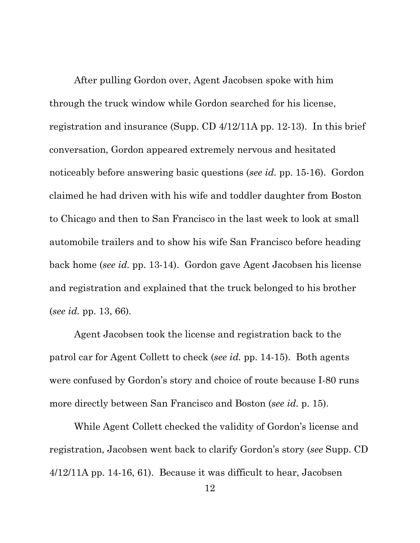After pulling Gordon over, Agent Jacobsen spoke with him through the truck window while Gordon searched for his license, registration and insurance (Supp. CD 4/12/11A pp. 12-13). In this brief conversation, Gordon appeared extremely nervous and hesitated noticeably before answering basic questions (*see id.* pp. 15-16). Gordon claimed he had driven with his wife and toddler daughter from Boston to Chicago and then to San Francisco in the last week to look at small automobile trailers and to show his wife San Francisco before heading back home (*see id.* pp. 13-14). Gordon gave Agent Jacobsen his license and registration and explained that the truck belonged to his brother (*see id.* pp. 13, 66).

Agent Jacobsen took the license and registration back to the patrol car for Agent Collett to check (*see id.* pp. 14-15). Both agents were confused by Gordon's story and choice of route because I-80 runs more directly between San Francisco and Boston (*see id.* p. 15).

While Agent Collett checked the validity of Gordon's license and registration, Jacobsen went back to clarify Gordon's story (*see* Supp. CD 4/12/11A pp. 14-16, 61). Because it was difficult to hear, Jacobsen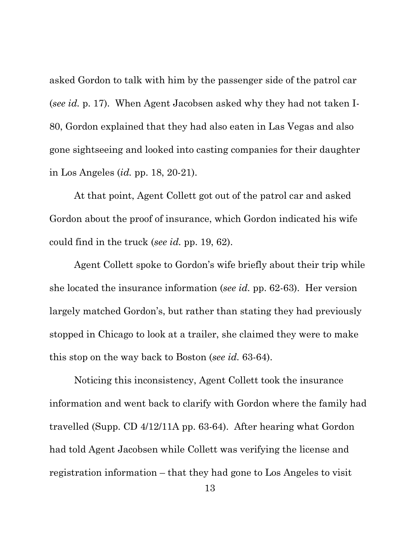asked Gordon to talk with him by the passenger side of the patrol car (*see id.* p. 17). When Agent Jacobsen asked why they had not taken I-80, Gordon explained that they had also eaten in Las Vegas and also gone sightseeing and looked into casting companies for their daughter in Los Angeles (*id.* pp. 18, 20-21).

At that point, Agent Collett got out of the patrol car and asked Gordon about the proof of insurance, which Gordon indicated his wife could find in the truck (*see id.* pp. 19, 62).

Agent Collett spoke to Gordon's wife briefly about their trip while she located the insurance information (*see id.* pp. 62-63). Her version largely matched Gordon's, but rather than stating they had previously stopped in Chicago to look at a trailer, she claimed they were to make this stop on the way back to Boston (*see id.* 63-64).

Noticing this inconsistency, Agent Collett took the insurance information and went back to clarify with Gordon where the family had travelled (Supp. CD 4/12/11A pp. 63-64). After hearing what Gordon had told Agent Jacobsen while Collett was verifying the license and registration information – that they had gone to Los Angeles to visit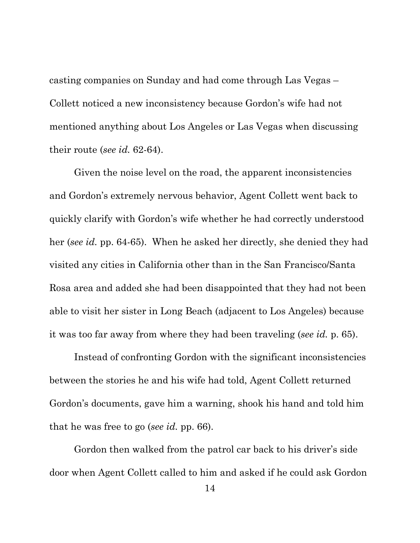casting companies on Sunday and had come through Las Vegas – Collett noticed a new inconsistency because Gordon's wife had not mentioned anything about Los Angeles or Las Vegas when discussing their route (*see id.* 62-64).

Given the noise level on the road, the apparent inconsistencies and Gordon's extremely nervous behavior, Agent Collett went back to quickly clarify with Gordon's wife whether he had correctly understood her (*see id.* pp. 64-65). When he asked her directly, she denied they had visited any cities in California other than in the San Francisco/Santa Rosa area and added she had been disappointed that they had not been able to visit her sister in Long Beach (adjacent to Los Angeles) because it was too far away from where they had been traveling (*see id.* p. 65).

Instead of confronting Gordon with the significant inconsistencies between the stories he and his wife had told, Agent Collett returned Gordon's documents, gave him a warning, shook his hand and told him that he was free to go (*see id.* pp. 66).

Gordon then walked from the patrol car back to his driver's side door when Agent Collett called to him and asked if he could ask Gordon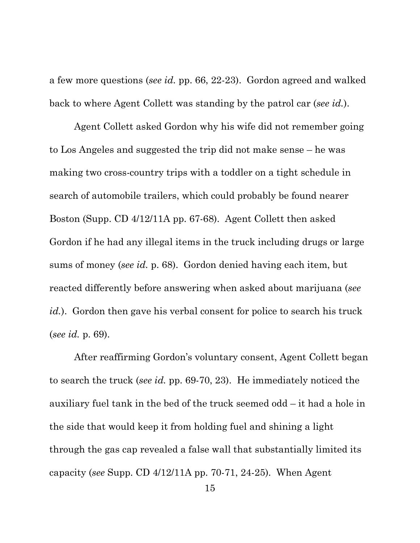a few more questions (*see id.* pp. 66, 22-23). Gordon agreed and walked back to where Agent Collett was standing by the patrol car (*see id.*).

Agent Collett asked Gordon why his wife did not remember going to Los Angeles and suggested the trip did not make sense – he was making two cross-country trips with a toddler on a tight schedule in search of automobile trailers, which could probably be found nearer Boston (Supp. CD 4/12/11A pp. 67-68). Agent Collett then asked Gordon if he had any illegal items in the truck including drugs or large sums of money (*see id.* p. 68). Gordon denied having each item, but reacted differently before answering when asked about marijuana (*see id.*). Gordon then gave his verbal consent for police to search his truck (*see id.* p. 69).

After reaffirming Gordon's voluntary consent, Agent Collett began to search the truck (*see id.* pp. 69-70, 23). He immediately noticed the auxiliary fuel tank in the bed of the truck seemed odd – it had a hole in the side that would keep it from holding fuel and shining a light through the gas cap revealed a false wall that substantially limited its capacity (*see* Supp. CD 4/12/11A pp. 70-71, 24-25). When Agent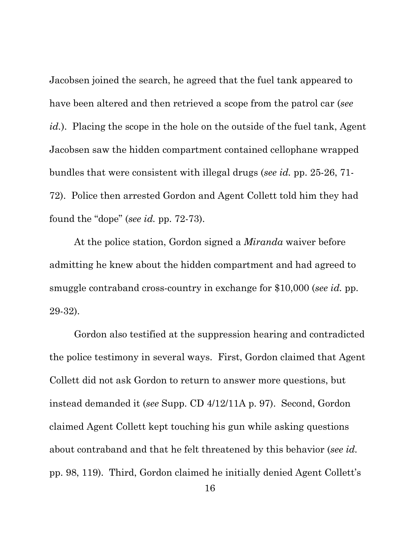Jacobsen joined the search, he agreed that the fuel tank appeared to have been altered and then retrieved a scope from the patrol car (*see id.*). Placing the scope in the hole on the outside of the fuel tank, Agent Jacobsen saw the hidden compartment contained cellophane wrapped bundles that were consistent with illegal drugs (*see id.* pp. 25-26, 71- 72). Police then arrested Gordon and Agent Collett told him they had found the "dope" (*see id.* pp. 72-73).

At the police station, Gordon signed a *Miranda* waiver before admitting he knew about the hidden compartment and had agreed to smuggle contraband cross-country in exchange for \$10,000 (*see id.* pp. 29-32).

Gordon also testified at the suppression hearing and contradicted the police testimony in several ways. First, Gordon claimed that Agent Collett did not ask Gordon to return to answer more questions, but instead demanded it (*see* Supp. CD 4/12/11A p. 97). Second, Gordon claimed Agent Collett kept touching his gun while asking questions about contraband and that he felt threatened by this behavior (*see id.*  pp. 98, 119). Third, Gordon claimed he initially denied Agent Collett's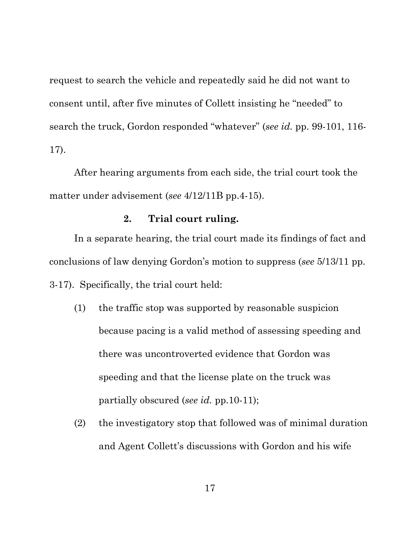request to search the vehicle and repeatedly said he did not want to consent until, after five minutes of Collett insisting he "needed" to search the truck, Gordon responded "whatever" (*see id.* pp. 99-101, 116- 17).

After hearing arguments from each side, the trial court took the matter under advisement (*see* 4/12/11B pp.4-15).

## **2. Trial court ruling.**

In a separate hearing, the trial court made its findings of fact and conclusions of law denying Gordon's motion to suppress (*see* 5/13/11 pp. 3-17). Specifically, the trial court held:

- (1) the traffic stop was supported by reasonable suspicion because pacing is a valid method of assessing speeding and there was uncontroverted evidence that Gordon was speeding and that the license plate on the truck was partially obscured (*see id.* pp.10-11);
- (2) the investigatory stop that followed was of minimal duration and Agent Collett's discussions with Gordon and his wife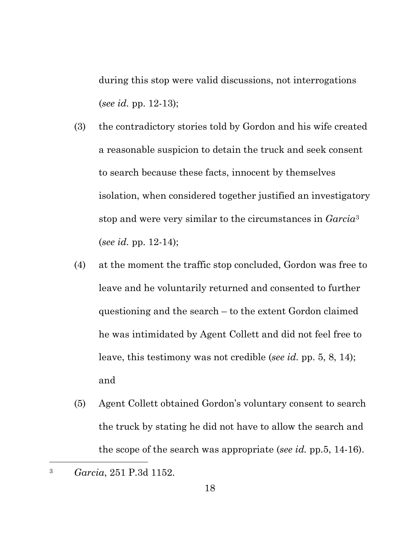during this stop were valid discussions, not interrogations (*see id.* pp. 12-13);

- (3) the contradictory stories told by Gordon and his wife created a reasonable suspicion to detain the truck and seek consent to search because these facts, innocent by themselves isolation, when considered together justified an investigatory stop and were very similar to the circumstances in *Garcia*[3](#page-21-0) (*see id.* pp. 12-14);
- (4) at the moment the traffic stop concluded, Gordon was free to leave and he voluntarily returned and consented to further questioning and the search – to the extent Gordon claimed he was intimidated by Agent Collett and did not feel free to leave, this testimony was not credible (*see id.* pp. 5, 8, 14); and
- (5) Agent Collett obtained Gordon's voluntary consent to search the truck by stating he did not have to allow the search and the scope of the search was appropriate (*see id.* pp.5, 14-16).

 $\overline{a}$ 

<span id="page-21-0"></span><sup>3</sup> *Garcia*, 251 P.3d 1152.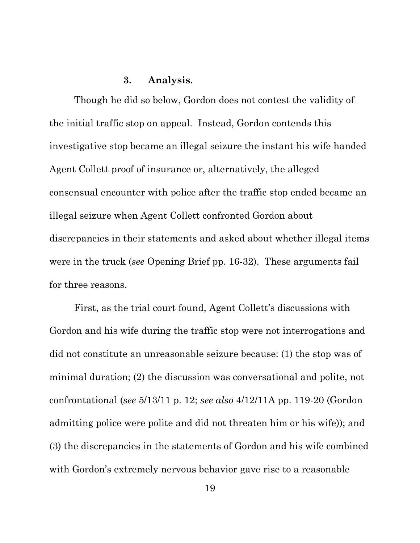### **3. Analysis.**

Though he did so below, Gordon does not contest the validity of the initial traffic stop on appeal. Instead, Gordon contends this investigative stop became an illegal seizure the instant his wife handed Agent Collett proof of insurance or, alternatively, the alleged consensual encounter with police after the traffic stop ended became an illegal seizure when Agent Collett confronted Gordon about discrepancies in their statements and asked about whether illegal items were in the truck (*see* Opening Brief pp. 16-32). These arguments fail for three reasons.

First, as the trial court found, Agent Collett's discussions with Gordon and his wife during the traffic stop were not interrogations and did not constitute an unreasonable seizure because: (1) the stop was of minimal duration; (2) the discussion was conversational and polite, not confrontational (*see* 5/13/11 p. 12; *see also* 4/12/11A pp. 119-20 (Gordon admitting police were polite and did not threaten him or his wife)); and (3) the discrepancies in the statements of Gordon and his wife combined with Gordon's extremely nervous behavior gave rise to a reasonable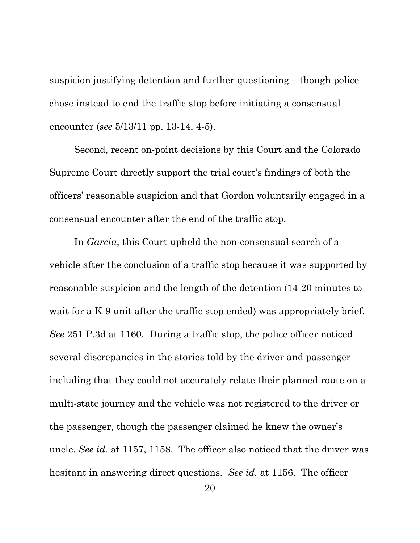suspicion justifying detention and further questioning – though police chose instead to end the traffic stop before initiating a consensual encounter (*see* 5/13/11 pp. 13-14, 4-5).

Second, recent on-point decisions by this Court and the Colorado Supreme Court directly support the trial court's findings of both the officers' reasonable suspicion and that Gordon voluntarily engaged in a consensual encounter after the end of the traffic stop.

In *Garcia*, this Court upheld the non-consensual search of a vehicle after the conclusion of a traffic stop because it was supported by reasonable suspicion and the length of the detention (14-20 minutes to wait for a K-9 unit after the traffic stop ended) was appropriately brief. *See* 251 P.3d at 1160. During a traffic stop, the police officer noticed several discrepancies in the stories told by the driver and passenger including that they could not accurately relate their planned route on a multi-state journey and the vehicle was not registered to the driver or the passenger, though the passenger claimed he knew the owner's uncle. *See id.* at 1157, 1158. The officer also noticed that the driver was hesitant in answering direct questions. *See id.* at 1156. The officer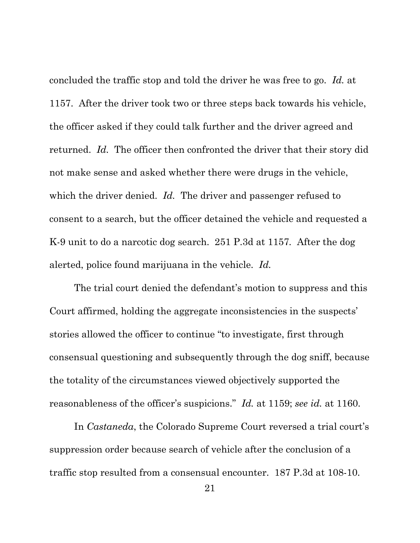concluded the traffic stop and told the driver he was free to go. *Id.* at 1157. After the driver took two or three steps back towards his vehicle, the officer asked if they could talk further and the driver agreed and returned. *Id.* The officer then confronted the driver that their story did not make sense and asked whether there were drugs in the vehicle, which the driver denied. *Id.* The driver and passenger refused to consent to a search, but the officer detained the vehicle and requested a K-9 unit to do a narcotic dog search. 251 P.3d at 1157*.* After the dog alerted, police found marijuana in the vehicle. *Id.* 

The trial court denied the defendant's motion to suppress and this Court affirmed, holding the aggregate inconsistencies in the suspects' stories allowed the officer to continue "to investigate, first through consensual questioning and subsequently through the dog sniff, because the totality of the circumstances viewed objectively supported the reasonableness of the officer's suspicions." *Id.* at 1159; *see id.* at 1160.

In *Castaneda*, the Colorado Supreme Court reversed a trial court's suppression order because search of vehicle after the conclusion of a traffic stop resulted from a consensual encounter. 187 P.3d at 108-10.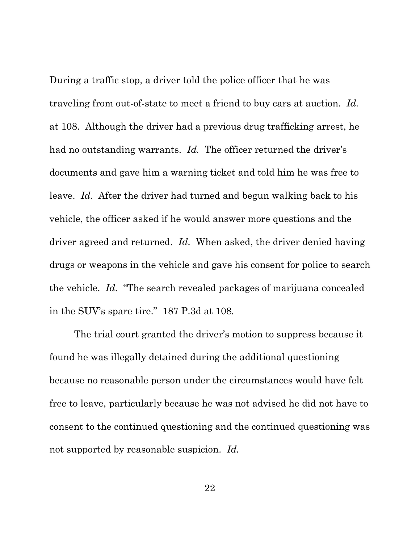During a traffic stop, a driver told the police officer that he was traveling from out-of-state to meet a friend to buy cars at auction. *Id.*  at 108. Although the driver had a previous drug trafficking arrest, he had no outstanding warrants. *Id.* The officer returned the driver's documents and gave him a warning ticket and told him he was free to leave. *Id.* After the driver had turned and begun walking back to his vehicle, the officer asked if he would answer more questions and the driver agreed and returned. *Id.* When asked, the driver denied having drugs or weapons in the vehicle and gave his consent for police to search the vehicle. *Id.* "The search revealed packages of marijuana concealed in the SUV's spare tire." 187 P.3d at 108*.*

The trial court granted the driver's motion to suppress because it found he was illegally detained during the additional questioning because no reasonable person under the circumstances would have felt free to leave, particularly because he was not advised he did not have to consent to the continued questioning and the continued questioning was not supported by reasonable suspicion. *Id.*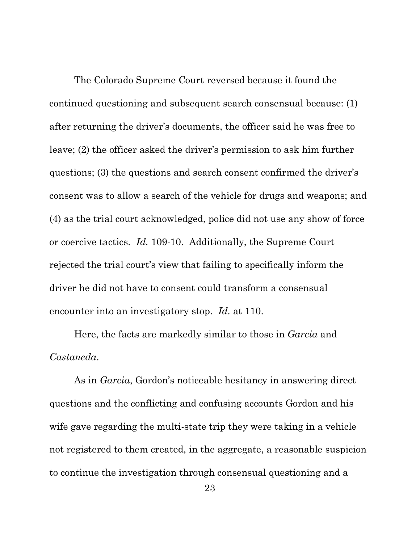The Colorado Supreme Court reversed because it found the continued questioning and subsequent search consensual because: (1) after returning the driver's documents, the officer said he was free to leave; (2) the officer asked the driver's permission to ask him further questions; (3) the questions and search consent confirmed the driver's consent was to allow a search of the vehicle for drugs and weapons; and (4) as the trial court acknowledged, police did not use any show of force or coercive tactics. *Id.* 109-10. Additionally, the Supreme Court rejected the trial court's view that failing to specifically inform the driver he did not have to consent could transform a consensual encounter into an investigatory stop. *Id.* at 110.

Here, the facts are markedly similar to those in *Garcia* and *Castaneda*.

As in *Garcia*, Gordon's noticeable hesitancy in answering direct questions and the conflicting and confusing accounts Gordon and his wife gave regarding the multi-state trip they were taking in a vehicle not registered to them created, in the aggregate, a reasonable suspicion to continue the investigation through consensual questioning and a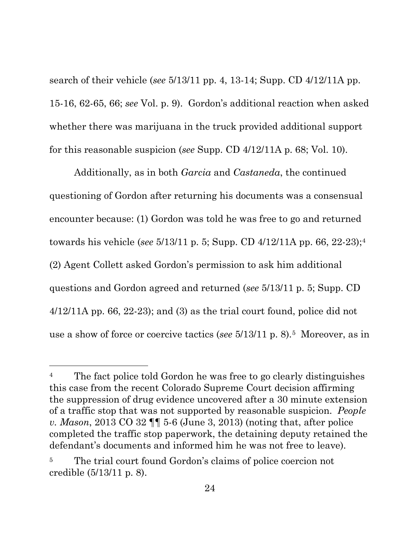search of their vehicle (*see* 5/13/11 pp. 4, 13-14; Supp. CD 4/12/11A pp. 15-16, 62-65, 66; *see* Vol. p. 9). Gordon's additional reaction when asked whether there was marijuana in the truck provided additional support for this reasonable suspicion (*see* Supp. CD 4/12/11A p. 68; Vol. 10).

Additionally, as in both *Garcia* and *Castaneda*, the continued questioning of Gordon after returning his documents was a consensual encounter because: (1) Gordon was told he was free to go and returned towards his vehicle (*see* 5/13/11 p. 5; Supp. CD 4/12/11A pp. 66, 22-23);[4](#page-27-0) (2) Agent Collett asked Gordon's permission to ask him additional questions and Gordon agreed and returned (*see* 5/13/11 p. 5; Supp. CD  $4/12/11A$  pp. 66, 22-23); and (3) as the trial court found, police did not use a show of force or coercive tactics (*see* 5/13/11 p. 8).[5](#page-27-1) Moreover, as in

 $\overline{a}$ 

<span id="page-27-0"></span><sup>&</sup>lt;sup>4</sup> The fact police told Gordon he was free to go clearly distinguishes this case from the recent Colorado Supreme Court decision affirming the suppression of drug evidence uncovered after a 30 minute extension of a traffic stop that was not supported by reasonable suspicion. *People v. Mason*, 2013 CO 32 ¶¶ 5-6 (June 3, 2013) (noting that, after police completed the traffic stop paperwork, the detaining deputy retained the defendant's documents and informed him he was not free to leave).

<span id="page-27-1"></span>The trial court found Gordon's claims of police coercion not credible (5/13/11 p. 8).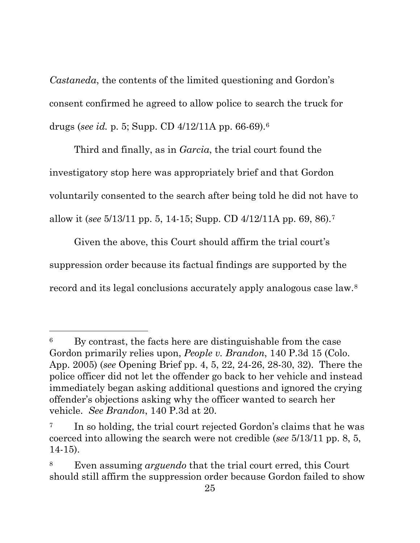*Castaneda*, the contents of the limited questioning and Gordon's consent confirmed he agreed to allow police to search the truck for drugs (*see id.* p. 5; Supp. CD 4/12/11A pp. 66-69).[6](#page-28-0)

Third and finally, as in *Garcia*, the trial court found the investigatory stop here was appropriately brief and that Gordon voluntarily consented to the search after being told he did not have to allow it (*see* 5/13/11 pp. 5, 14-15; Supp. CD 4/12/11A pp. 69, 86).[7](#page-28-1) 

Given the above, this Court should affirm the trial court's suppression order because its factual findings are supported by the record and its legal conclusions accurately apply analogous case law.[8](#page-28-2)

l

<span id="page-28-0"></span><sup>6</sup> By contrast, the facts here are distinguishable from the case Gordon primarily relies upon, *People v. Brandon*, 140 P.3d 15 (Colo. App. 2005) (*see* Opening Brief pp. 4, 5, 22, 24-26, 28-30, 32). There the police officer did not let the offender go back to her vehicle and instead immediately began asking additional questions and ignored the crying offender's objections asking why the officer wanted to search her vehicle. *See Brandon*, 140 P.3d at 20.

<span id="page-28-1"></span><sup>&</sup>lt;sup>7</sup> In so holding, the trial court rejected Gordon's claims that he was coerced into allowing the search were not credible (*see* 5/13/11 pp. 8, 5, 14-15).

<span id="page-28-2"></span><sup>8</sup> Even assuming *arguendo* that the trial court erred, this Court should still affirm the suppression order because Gordon failed to show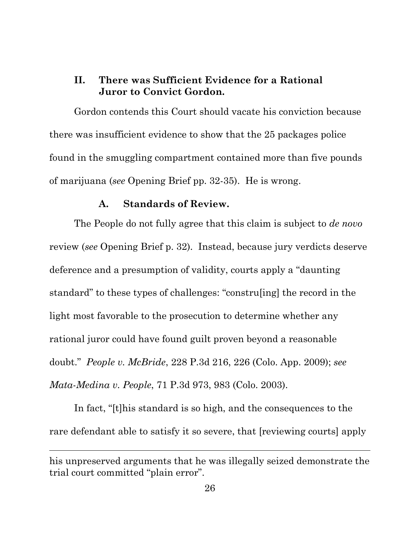## **II. There was Sufficient Evidence for a Rational Juror to Convict Gordon.**

Gordon contends this Court should vacate his conviction because there was insufficient evidence to show that the 25 packages police found in the smuggling compartment contained more than five pounds of marijuana (*see* Opening Brief pp. 32-35). He is wrong.

#### **A. Standards of Review.**

The People do not fully agree that this claim is subject to *de novo*  review (*see* Opening Brief p. 32). Instead, because jury verdicts deserve deference and a presumption of validity, courts apply a "daunting standard" to these types of challenges: "constru[ing] the record in the light most favorable to the prosecution to determine whether any rational juror could have found guilt proven beyond a reasonable doubt." *People v. McBride*, 228 P.3d 216, 226 (Colo. App. 2009); *see Mata-Medina v. People*, 71 P.3d 973, 983 (Colo. 2003).

In fact, "[t]his standard is so high, and the consequences to the rare defendant able to satisfy it so severe, that [reviewing courts] apply

l

his unpreserved arguments that he was illegally seized demonstrate the trial court committed "plain error".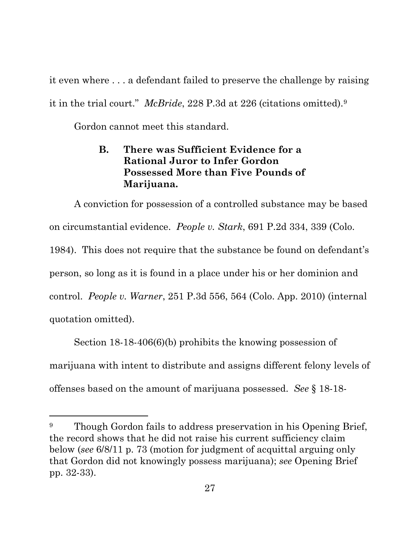it even where . . . a defendant failed to preserve the challenge by raising it in the trial court." *McBride*, 228 P.3d at 226 (citations omitted).[9](#page-30-0)

Gordon cannot meet this standard.

 $\overline{a}$ 

## **B. There was Sufficient Evidence for a Rational Juror to Infer Gordon Possessed More than Five Pounds of Marijuana.**

A conviction for possession of a controlled substance may be based on circumstantial evidence. *People v. Stark*, 691 P.2d 334, 339 (Colo. 1984). This does not require that the substance be found on defendant's person, so long as it is found in a place under his or her dominion and control. *People v. Warner*, 251 P.3d 556, 564 (Colo. App. 2010) (internal quotation omitted).

Section 18-18-406(6)(b) prohibits the knowing possession of marijuana with intent to distribute and assigns different felony levels of offenses based on the amount of marijuana possessed. *See* § 18-18-

<span id="page-30-0"></span><sup>&</sup>lt;sup>9</sup> Though Gordon fails to address preservation in his Opening Brief, the record shows that he did not raise his current sufficiency claim below (*see* 6/8/11 p. 73 (motion for judgment of acquittal arguing only that Gordon did not knowingly possess marijuana); *see* Opening Brief pp. 32-33).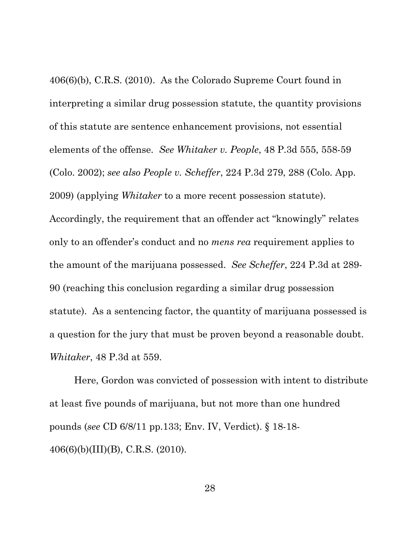406(6)(b), C.R.S. (2010). As the Colorado Supreme Court found in interpreting a similar drug possession statute, the quantity provisions of this statute are sentence enhancement provisions, not essential elements of the offense. *See Whitaker v. People*, 48 P.3d 555, 558-59 (Colo. 2002); *see also People v. Scheffer*, 224 P.3d 279, 288 (Colo. App. 2009) (applying *Whitaker* to a more recent possession statute). Accordingly, the requirement that an offender act "knowingly" relates only to an offender's conduct and no *mens rea* requirement applies to the amount of the marijuana possessed. *See Scheffer*, 224 P.3d at 289- 90 (reaching this conclusion regarding a similar drug possession statute). As a sentencing factor, the quantity of marijuana possessed is a question for the jury that must be proven beyond a reasonable doubt. *Whitaker*, 48 P.3d at 559.

Here, Gordon was convicted of possession with intent to distribute at least five pounds of marijuana, but not more than one hundred pounds (*see* CD 6/8/11 pp.133; Env. IV, Verdict). § 18-18- 406(6)(b)(III)(B), C.R.S. (2010).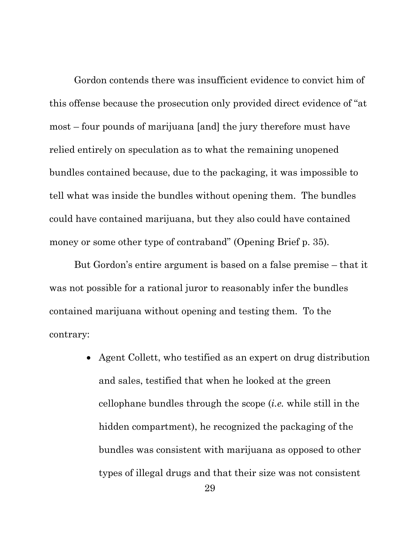Gordon contends there was insufficient evidence to convict him of this offense because the prosecution only provided direct evidence of "at most – four pounds of marijuana [and] the jury therefore must have relied entirely on speculation as to what the remaining unopened bundles contained because, due to the packaging, it was impossible to tell what was inside the bundles without opening them. The bundles could have contained marijuana, but they also could have contained money or some other type of contraband" (Opening Brief p. 35).

But Gordon's entire argument is based on a false premise – that it was not possible for a rational juror to reasonably infer the bundles contained marijuana without opening and testing them. To the contrary:

> • Agent Collett, who testified as an expert on drug distribution and sales, testified that when he looked at the green cellophane bundles through the scope (*i.e.* while still in the hidden compartment), he recognized the packaging of the bundles was consistent with marijuana as opposed to other types of illegal drugs and that their size was not consistent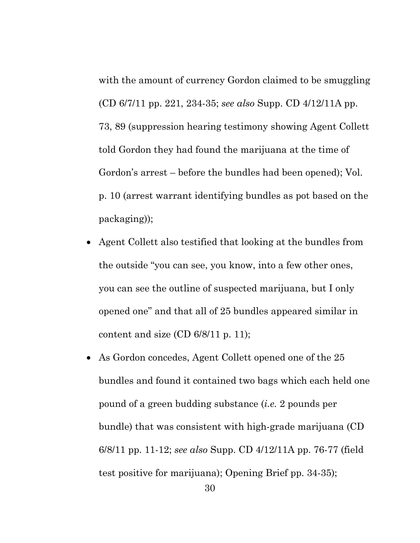with the amount of currency Gordon claimed to be smuggling (CD 6/7/11 pp. 221, 234-35; *see also* Supp. CD 4/12/11A pp. 73, 89 (suppression hearing testimony showing Agent Collett told Gordon they had found the marijuana at the time of Gordon's arrest – before the bundles had been opened); Vol. p. 10 (arrest warrant identifying bundles as pot based on the packaging));

- Agent Collett also testified that looking at the bundles from the outside "you can see, you know, into a few other ones, you can see the outline of suspected marijuana, but I only opened one" and that all of 25 bundles appeared similar in content and size  $(CD 6/8/11 p. 11)$ ;
- As Gordon concedes, Agent Collett opened one of the 25 bundles and found it contained two bags which each held one pound of a green budding substance (*i.e.* 2 pounds per bundle) that was consistent with high-grade marijuana (CD 6/8/11 pp. 11-12; *see also* Supp. CD 4/12/11A pp. 76-77 (field test positive for marijuana); Opening Brief pp. 34-35);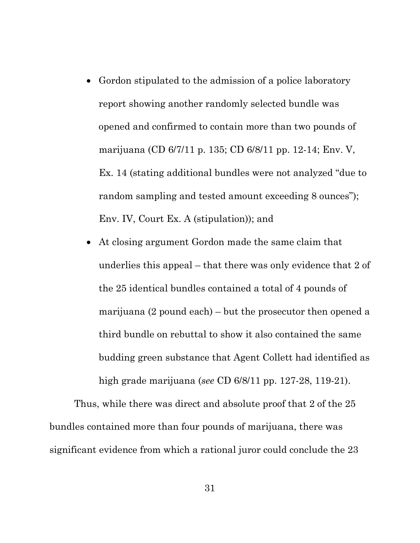- Gordon stipulated to the admission of a police laboratory report showing another randomly selected bundle was opened and confirmed to contain more than two pounds of marijuana (CD 6/7/11 p. 135; CD 6/8/11 pp. 12-14; Env. V, Ex. 14 (stating additional bundles were not analyzed "due to random sampling and tested amount exceeding 8 ounces"); Env. IV, Court Ex. A (stipulation)); and
- At closing argument Gordon made the same claim that underlies this appeal – that there was only evidence that 2 of the 25 identical bundles contained a total of 4 pounds of marijuana (2 pound each) – but the prosecutor then opened a third bundle on rebuttal to show it also contained the same budding green substance that Agent Collett had identified as high grade marijuana (*see* CD 6/8/11 pp. 127-28, 119-21).

Thus, while there was direct and absolute proof that 2 of the 25 bundles contained more than four pounds of marijuana, there was significant evidence from which a rational juror could conclude the 23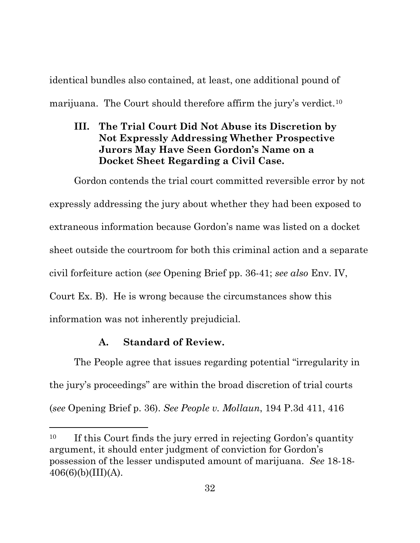identical bundles also contained, at least, one additional pound of marijuana. The Court should therefore affirm the jury's verdict.<sup>[10](#page-35-0)</sup>

## **III. The Trial Court Did Not Abuse its Discretion by Not Expressly Addressing Whether Prospective Jurors May Have Seen Gordon's Name on a Docket Sheet Regarding a Civil Case.**

Gordon contends the trial court committed reversible error by not expressly addressing the jury about whether they had been exposed to extraneous information because Gordon's name was listed on a docket sheet outside the courtroom for both this criminal action and a separate civil forfeiture action (*see* Opening Brief pp. 36-41; *see also* Env. IV, Court Ex. B). He is wrong because the circumstances show this information was not inherently prejudicial.

# **A. Standard of Review.**

l

The People agree that issues regarding potential "irregularity in the jury's proceedings" are within the broad discretion of trial courts (*see* Opening Brief p. 36). *See People v. Mollaun*, 194 P.3d 411, 416

<span id="page-35-0"></span><sup>&</sup>lt;sup>10</sup> If this Court finds the jury erred in rejecting Gordon's quantity argument, it should enter judgment of conviction for Gordon's possession of the lesser undisputed amount of marijuana. *See* 18-18-  $406(6)(b)(III)(A).$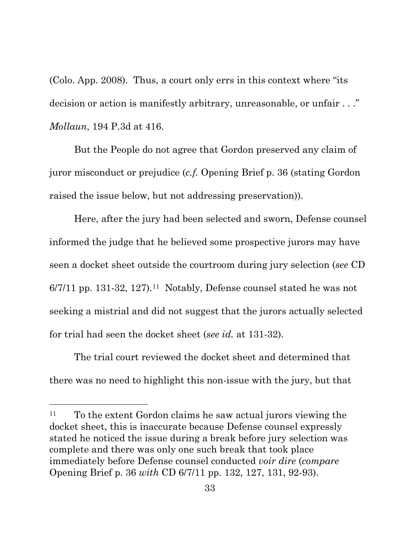(Colo. App. 2008). Thus, a court only errs in this context where "its decision or action is manifestly arbitrary, unreasonable, or unfair . . ." *Mollaun*, 194 P.3d at 416.

But the People do not agree that Gordon preserved any claim of juror misconduct or prejudice (*c.f.* Opening Brief p. 36 (stating Gordon raised the issue below, but not addressing preservation)).

Here, after the jury had been selected and sworn, Defense counsel informed the judge that he believed some prospective jurors may have seen a docket sheet outside the courtroom during jury selection (*see* CD  $6/7/11$  pp. 131-32, 127).<sup>11</sup> Notably, Defense counsel stated he was not seeking a mistrial and did not suggest that the jurors actually selected for trial had seen the docket sheet (*see id.* at 131-32).

The trial court reviewed the docket sheet and determined that there was no need to highlight this non-issue with the jury, but that

 $\overline{a}$ 

<span id="page-36-0"></span><sup>11</sup> To the extent Gordon claims he saw actual jurors viewing the docket sheet, this is inaccurate because Defense counsel expressly stated he noticed the issue during a break before jury selection was complete and there was only one such break that took place immediately before Defense counsel conducted *voir dire* (*compare*  Opening Brief p. 36 *with* CD 6/7/11 pp. 132, 127, 131, 92-93).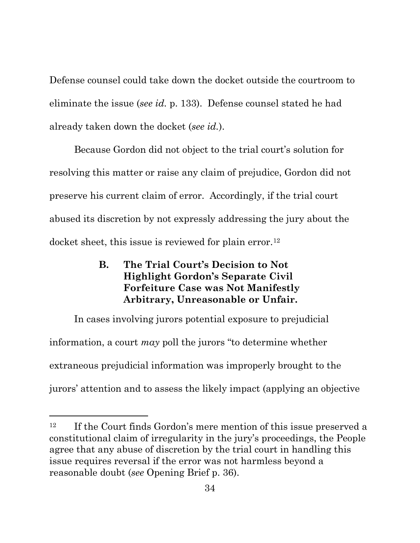Defense counsel could take down the docket outside the courtroom to eliminate the issue (*see id.* p. 133). Defense counsel stated he had already taken down the docket (*see id.*).

Because Gordon did not object to the trial court's solution for resolving this matter or raise any claim of prejudice, Gordon did not preserve his current claim of error. Accordingly, if the trial court abused its discretion by not expressly addressing the jury about the docket sheet, this issue is reviewed for plain error.<sup>[12](#page-37-0)</sup>

## **B. The Trial Court's Decision to Not Highlight Gordon's Separate Civil Forfeiture Case was Not Manifestly Arbitrary, Unreasonable or Unfair.**

In cases involving jurors potential exposure to prejudicial information, a court *may* poll the jurors "to determine whether extraneous prejudicial information was improperly brought to the jurors' attention and to assess the likely impact (applying an objective

 $\overline{a}$ 

<span id="page-37-0"></span><sup>&</sup>lt;sup>12</sup> If the Court finds Gordon's mere mention of this issue preserved a constitutional claim of irregularity in the jury's proceedings, the People agree that any abuse of discretion by the trial court in handling this issue requires reversal if the error was not harmless beyond a reasonable doubt (*see* Opening Brief p. 36).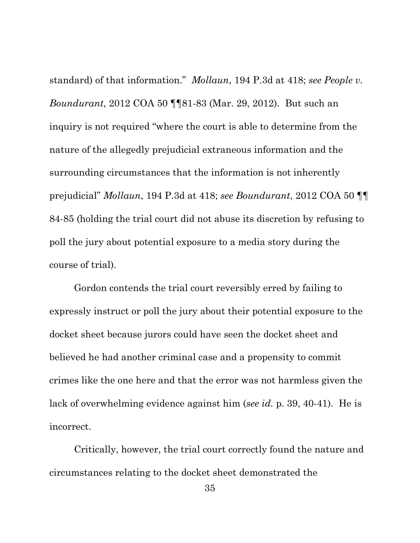standard) of that information." *Mollaun*, 194 P.3d at 418; *see People v. Boundurant*, 2012 COA 50 ¶¶81-83 (Mar. 29, 2012). But such an inquiry is not required "where the court is able to determine from the nature of the allegedly prejudicial extraneous information and the surrounding circumstances that the information is not inherently prejudicial" *Mollaun*, 194 P.3d at 418; *see Boundurant*, 2012 COA 50 ¶¶ 84-85 (holding the trial court did not abuse its discretion by refusing to poll the jury about potential exposure to a media story during the course of trial).

Gordon contends the trial court reversibly erred by failing to expressly instruct or poll the jury about their potential exposure to the docket sheet because jurors could have seen the docket sheet and believed he had another criminal case and a propensity to commit crimes like the one here and that the error was not harmless given the lack of overwhelming evidence against him (*see id.* p. 39, 40-41). He is incorrect.

Critically, however, the trial court correctly found the nature and circumstances relating to the docket sheet demonstrated the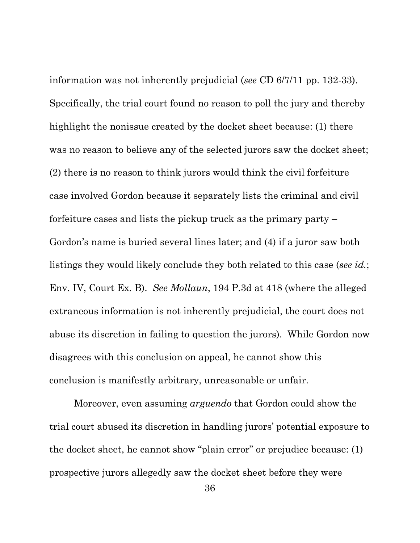information was not inherently prejudicial (*see* CD 6/7/11 pp. 132-33). Specifically, the trial court found no reason to poll the jury and thereby highlight the nonissue created by the docket sheet because: (1) there was no reason to believe any of the selected jurors saw the docket sheet; (2) there is no reason to think jurors would think the civil forfeiture case involved Gordon because it separately lists the criminal and civil forfeiture cases and lists the pickup truck as the primary party – Gordon's name is buried several lines later; and (4) if a juror saw both listings they would likely conclude they both related to this case (*see id.*; Env. IV, Court Ex. B). *See Mollaun*, 194 P.3d at 418 (where the alleged extraneous information is not inherently prejudicial, the court does not abuse its discretion in failing to question the jurors). While Gordon now disagrees with this conclusion on appeal, he cannot show this conclusion is manifestly arbitrary, unreasonable or unfair.

Moreover, even assuming *arguendo* that Gordon could show the trial court abused its discretion in handling jurors' potential exposure to the docket sheet, he cannot show "plain error" or prejudice because: (1) prospective jurors allegedly saw the docket sheet before they were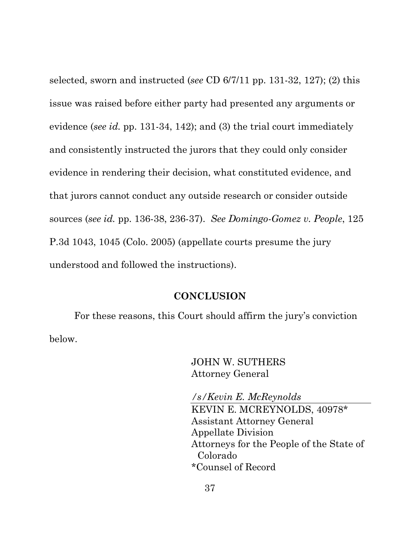selected, sworn and instructed (*see* CD 6/7/11 pp. 131-32, 127); (2) this issue was raised before either party had presented any arguments or evidence (*see id.* pp. 131-34, 142); and (3) the trial court immediately and consistently instructed the jurors that they could only consider evidence in rendering their decision, what constituted evidence, and that jurors cannot conduct any outside research or consider outside sources (*see id.* pp. 136-38, 236-37). *See Domingo-Gomez v. People*, 125 P.3d 1043, 1045 (Colo. 2005) (appellate courts presume the jury understood and followed the instructions).

#### **CONCLUSION**

For these reasons, this Court should affirm the jury's conviction below.

> JOHN W. SUTHERS Attorney General

*/s/Kevin E. McReynolds* KEVIN E. MCREYNOLDS, 40978\* Assistant Attorney General Appellate Division Attorneys for the People of the State of Colorado \*Counsel of Record